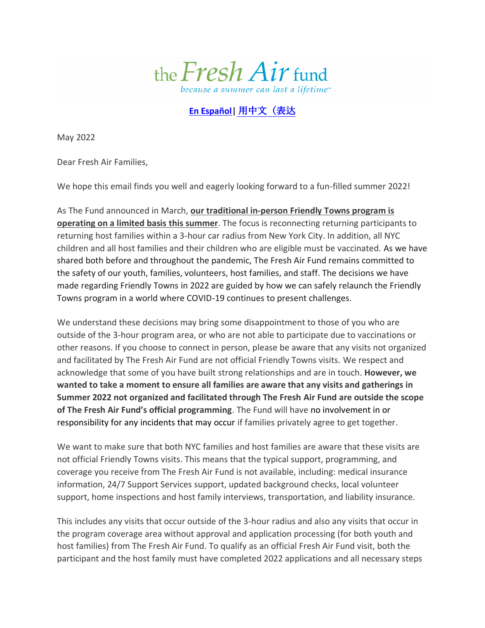

## **[En Español|](https://freshair.org/wp-content/uploads/2022/05/Friendly-Towns-Communication_Host-Families-and-NYC-Families_Spanish_5-13-2022.pdf)** [用中文\(表达](https://freshair.org/wp-content/uploads/2022/05/Friendly-Towns-Communication_Host-Families-and-NYC-Families_Mandarin_5-13-2022.pdf)

May 2022

Dear Fresh Air Families,

We hope this email finds you well and eagerly looking forward to a fun-filled summer 2022!

As The Fund announced in March, **our traditional in-person Friendly Towns program is operating on a limited basis this summer**. The focus is reconnecting returning participants to returning host families within a 3-hour car radius from New York City. In addition, all NYC children and all host families and their children who are eligible must be vaccinated. As we have shared both before and throughout the pandemic, The Fresh Air Fund remains committed to the safety of our youth, families, volunteers, host families, and staff. The decisions we have made regarding Friendly Towns in 2022 are guided by how we can safely relaunch the Friendly Towns program in a world where COVID-19 continues to present challenges.

We understand these decisions may bring some disappointment to those of you who are outside of the 3-hour program area, or who are not able to participate due to vaccinations or other reasons. If you choose to connect in person, please be aware that any visits not organized and facilitated by The Fresh Air Fund are not official Friendly Towns visits. We respect and acknowledge that some of you have built strong relationships and are in touch. **However, we wanted to take a moment to ensure all families are aware that any visits and gatherings in Summer 2022 not organized and facilitated through The Fresh Air Fund are outside the scope of The Fresh Air Fund's official programming**. The Fund will have no involvement in or responsibility for any incidents that may occur if families privately agree to get together.

We want to make sure that both NYC families and host families are aware that these visits are not official Friendly Towns visits. This means that the typical support, programming, and coverage you receive from The Fresh Air Fund is not available, including: medical insurance information, 24/7 Support Services support, updated background checks, local volunteer support, home inspections and host family interviews, transportation, and liability insurance.

This includes any visits that occur outside of the 3-hour radius and also any visits that occur in the program coverage area without approval and application processing (for both youth and host families) from The Fresh Air Fund. To qualify as an official Fresh Air Fund visit, both the participant and the host family must have completed 2022 applications and all necessary steps